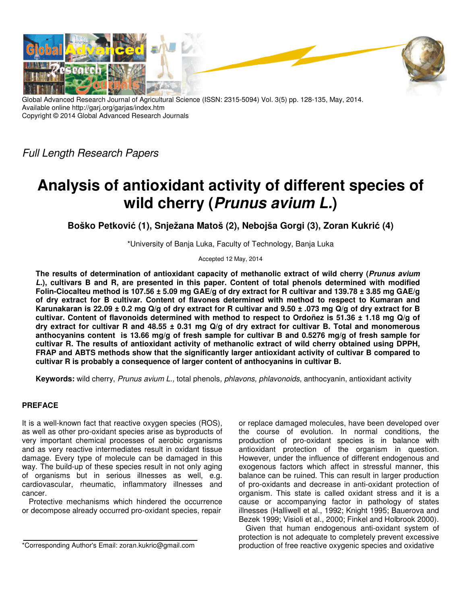

Global Advanced Research Journal of Agricultural Science (ISSN: 2315-5094) Vol. 3(5) pp. 128-135, May, 2014. Available online http://garj.org/garjas/index.htm Copyright © 2014 Global Advanced Research Journals

Full Length Research Papers

# **Analysis of antioxidant activity of different species of wild cherry (Prunus avium L.)**

**Boško Petković (1), Snježana Matoš (2), Nebojša Gorgi (3), Zoran Kukrić (4)** 

\*University of Banja Luka, Faculty of Technology, Banja Luka

Accepted 12 May, 2014

**The results of determination of antioxidant capacity of methanolic extract of wild cherry (Prunus avium L.), cultivars B and R, are presented in this paper. Content of total phenols determined with modified Folin-Ciocalteu method is 107.56 ± 5.09 mg GAE/g of dry extract for R cultivar and 139.78 ± 3.85 mg GAE/g of dry extract for B cultivar. Content of flavones determined with method to respect to Kumaran and Karunakaran is 22.09 ± 0.2 mg Q/g of dry extract for R cultivar and 9.50 ± .073 mg Q/g of dry extract for B cultivar. Content of flavonoids determined with method to respect to Ordoñez is 51.36 ± 1.18 mg Q/g of dry extract for cultivar R and 48.55 ± 0.31 mg Q/g of dry extract for cultivar B. Total and monomerous anthocyanins content is 13.66 mg/g of fresh sample for cultivar B and 0.5276 mg/g of fresh sample for cultivar R. The results of antioxidant activity of methanolic extract of wild cherry obtained using DPPH, FRAP and ABTS methods show that the significantly larger antioxidant activity of cultivar B compared to cultivar R is probably a consequence of larger content of anthocyanins in cultivar B.** 

**Keywords:** wild cherry, Prunus avium L., total phenols, phlavons, phlavonoids, anthocyanin, antioxidant activity

# **PREFACE**

It is a well-known fact that reactive oxygen species (ROS), as well as other pro-oxidant species arise as byproducts of very important chemical processes of aerobic organisms and as very reactive intermediates result in oxidant tissue damage. Every type of molecule can be damaged in this way. The build-up of these species result in not only aging of organisms but in serious illnesses as well, e.g. cardiovascular, rheumatic, inflammatory illnesses and cancer.

Protective mechanisms which hindered the occurrence or decompose already occurred pro-oxidant species, repair

or replace damaged molecules, have been developed over the course of evolution. In normal conditions, the production of pro-oxidant species is in balance with antioxidant protection of the organism in question. However, under the influence of different endogenous and exogenous factors which affect in stressful manner, this balance can be ruined. This can result in larger production of pro-oxidants and decrease in anti-oxidant protection of organism. This state is called oxidant stress and it is a cause or accompanying factor in pathology of states illnesses (Halliwell et al., 1992; Knight 1995; Bauerova and Bezek 1999; Visioli et al., 2000; Finkel and Holbrook 2000).

Given that human endogenous anti-oxidant system of protection is not adequate to completely prevent excessive production of free reactive oxygenic species and oxidative

<sup>\*</sup>Corresponding Author's Email: zoran.kukric@gmail.com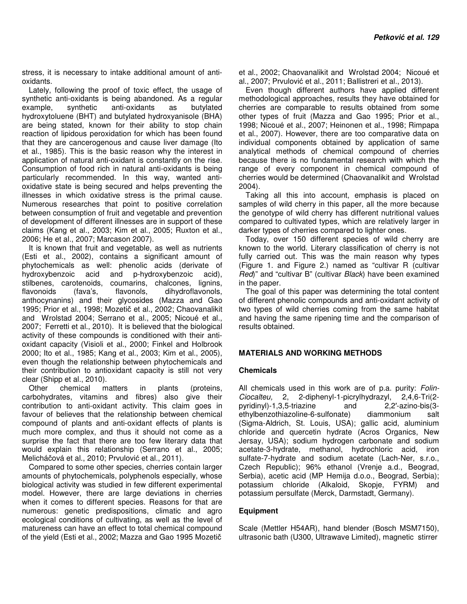stress, it is necessary to intake additional amount of antioxidants.

Lately, following the proof of toxic effect, the usage of synthetic anti-oxidants is being abandoned. As a regular example, synthetic anti-oxidants as butylated hydroxytoluene (BHT) and butylated hydroxyanisole (BHA) are being stated, known for their ability to stop chain reaction of lipidous peroxidation for which has been found that they are cancerogenous and cause liver damage (Ito et al., 1985). This is the basic reason why the interest in application of natural anti-oxidant is constantly on the rise. Consumption of food rich in natural anti-oxidants is being particularly recommended. In this way, wanted antioxidative state is being secured and helps preventing the illnesses in which oxidative stress is the primal cause. Numerous researches that point to positive correlation between consumption of fruit and vegetable and prevention of development of different illnesses are in support of these claims (Kang et al., 2003; Kim et al., 2005; Ruxton et al., 2006; He et al., 2007; Marcason 2007).

It is known that fruit and vegetable, as well as nutrients (Esti et al., 2002), contains a significant amount of phytochemicals as well: phenolic acids (derivate of hydroxybenzoic acid and p-hydroxybenzoic acid), stilbenes, carotenoids, coumarins, chalcones, lignins, flavonoids (fava's, flavonols, dihydroflavonols, anthocynanins) and their glycosides (Mazza and Gao 1995; Prior et al., 1998; Mozetič et al., 2002; Chaovanalikit and Wrolstad 2004; Serrano et al., 2005; Nicoué et al., 2007; Ferretti et al., 2010). It is believed that the biological activity of these compounds is conditioned with their antioxidant capacity (Visioli et al., 2000; Finkel and Holbrook 2000; Ito et al., 1985; Kang et al., 2003; Kim et al., 2005), even though the relationship between phytochemicals and their contribution to antioxidant capacity is still not very clear (Shipp et al., 2010).

Other chemical matters in plants (proteins, carbohydrates, vitamins and fibres) also give their contribution to anti-oxidant activity. This claim goes in favour of believes that the relationship between chemical compound of plants and anti-oxidant effects of plants is much more complex, and thus it should not come as a surprise the fact that there are too few literary data that would explain this relationship (Serrano et al., 2005; Melicháčová et al., 2010; Prvulović et al., 2011).

Compared to some other species, cherries contain larger amounts of phytochemicals, polyphenols especially, whose biological activity was studied in few different experimental model. However, there are large deviations in cherries when it comes to different species. Reasons for that are numerous: genetic predispositions, climatic and agro ecological conditions of cultivating, as well as the level of matureness can have an effect to total chemical compound of the yield (Esti et al., 2002; Mazza and Gao 1995 Mozetič

et al., 2002; Chaovanalikit and Wrolstad 2004; Nicoué et al., 2007; Prvulović et al., 2011; Ballistreri et al., 2013).

Even though different authors have applied different methodological approaches, results they have obtained for cherries are comparable to results obtained from some other types of fruit (Mazza and Gao 1995; Prior et al., 1998; Nicoué et al., 2007; Heinonen et al., 1998; Rimpapa et al., 2007). However, there are too comparative data on individual components obtained by application of same analytical methods of chemical compound of cherries because there is no fundamental research with which the range of every component in chemical compound of cherries would be determined (Chaovanalikit and Wrolstad 2004).

Taking all this into account, emphasis is placed on samples of wild cherry in this paper, all the more because the genotype of wild cherry has different nutritional values compared to cultivated types, which are relatively larger in darker types of cherries compared to lighter ones.

Today, over 150 different species of wild cherry are known to the world. Literary classification of cherry is not fully carried out. This was the main reason why types (Figure 1. and Figure 2.) named as "cultivar R (cultivar Red)" and "cultivar B" (cultivar Black) have been examined in the paper.

The goal of this paper was determining the total content of different phenolic compounds and anti-oxidant activity of two types of wild cherries coming from the same habitat and having the same ripening time and the comparison of results obtained.

### **MATERIALS AND WORKING METHODS**

### **Chemicals**

All chemicals used in this work are of p.a. purity: Folin-Ciocalteu, 2, 2-diphenyl-1-picrylhydrazyl, 2,4,6-Tri(2 pyridinyl)-1,3,5-triazine and 2,2′-azino-bis(3 ethylbenzothiazoline-6-sulfonate) diammonium salt (Sigma-Aldrich, St. Louis, USA); gallic acid, aluminium chloride and quercetin hydrate (Acros Organics, New Jersay, USA); sodium hydrogen carbonate and sodium acetate-3-hydrate, methanol, hydrochloric acid, iron sulfate-7-hydrate and sodium acetate (Lach-Ner, s.r.o., Czech Republic); 96% ethanol (Vrenje a.d., Beograd, Serbia), acetic acid (MP Hemija d.o.o., Beograd, Serbia); potassium chloride (Alkaloid, Skopje, FYRM) and potassium persulfate (Merck, Darmstadt, Germany).

### **Equipment**

Scale (Mettler H54AR), hand blender (Bosch MSM7150), ultrasonic bath (U300, Ultrawave Limited), magnetic stirrer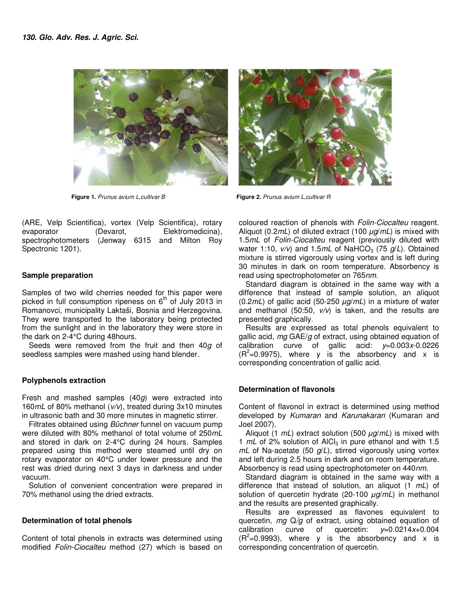

**Figure 1.** Prunus avium L,cultivar B **Figure 2.** Prunus avium L,cultivar R

(ARE, Velp Scientifica), vortex (Velp Scientifica), rotary evaporator (Devarot, Elektromedicina), spectrophotometers (Jenway 6315 and Milton Roy Spectronic 1201).

## **Sample preparation**

Samples of two wild cherries needed for this paper were picked in full consumption ripeness on  $6<sup>th</sup>$  of July 2013 in Romanovci, municipality Laktaši, Bosnia and Herzegovina. They were transported to the laboratory being protected from the sunlight and in the laboratory they were store in the dark on 2-4°C during 48hours.

Seeds were removed from the fruit and then 40q of seedless samples were mashed using hand blender.

### **Polyphenols extraction**

Fresh and mashed samples  $(40g)$  were extracted into 160mL of 80% methanol (v/v), treated during 3x10 minutes in ultrasonic bath and 30 more minutes in magnetic stirrer.

Filtrates obtained using Büchner funnel on vacuum pump were diluted with 80% methanol of total volume of 250mL and stored in dark on 2-4°C during 24 hours. Samples prepared using this method were steamed until dry on rotary evaporator on 40°C under lower pressure and the rest was dried during next 3 days in darkness and under vacuum.

Solution of convenient concentration were prepared in 70% methanol using the dried extracts.

### **Determination of total phenols**

Content of total phenols in extracts was determined using modified Folin-Ciocalteu method (27) which is based on coloured reaction of phenols with Folin-Ciocalteu reagent. Aliquot (0.2mL) of diluted extract (100 *µ*g/mL) is mixed with 1.5mL of Folin-Ciocalteu reagent (previously diluted with water 1:10,  $v/v$ ) and 1.5mL of NaHCO<sub>3</sub> (75  $g/L$ ). Obtained mixture is stirred vigorously using vortex and is left during 30 minutes in dark on room temperature. Absorbency is read using spectrophotometer on 765nm.

Standard diagram is obtained in the same way with a difference that instead of sample solution, an aliquot (0.2mL) of gallic acid (50-250 *µ*g/mL) in a mixture of water and methanol (50:50,  $v/v$ ) is taken, and the results are presented graphically.

Results are expressed as total phenols equivalent to gallic acid,  $mg$  GAE/g of extract, using obtained equation of calibration curve of gallic acid:  $y=0.003x-0.0226$  $(R<sup>2</sup>=0.9975)$ , where y is the absorbency and x is corresponding concentration of gallic acid.

# **Determination of flavonols**

Content of flavonol in extract is determined using method developed by Kumaran and Karunakaran (Kumaran and Joel 2007).

Aliquot (1 mL) extract solution (500 *µ*g/mL) is mixed with 1  $mL$  of 2% solution of AlCl<sub>3</sub> in pure ethanol and with 1.5  $mL$  of Na-acetate (50  $q/L$ ), stirred vigorously using vortex and left during 2.5 hours in dark and on room temperature. Absorbency is read using spectrophotometer on 440nm.

Standard diagram is obtained in the same way with a difference that instead of solution, an aliquot  $(1 \ mL)$  of solution of quercetin hydrate (20-100 *µ*g/mL) in methanol and the results are presented graphically.

Results are expressed as flavones equivalent to quercetin,  $mg Q/q$  of extract, using obtained equation of calibration curve of quercetin:  $v=0.0214x+0.004$  $(R<sup>2</sup>=0.9993)$ , where y is the absorbency and x is corresponding concentration of quercetin.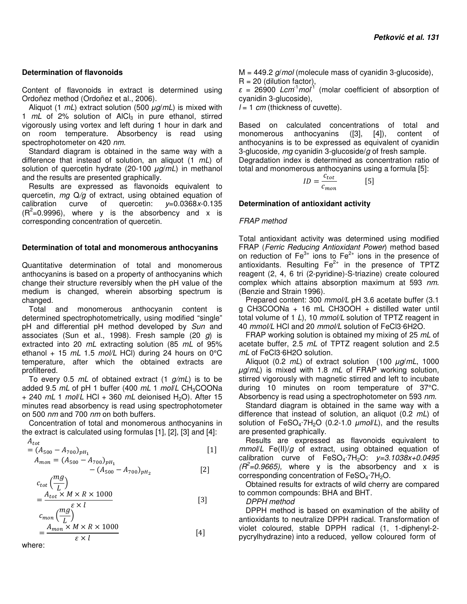## **Determination of flavonoids**

Content of flavonoids in extract is determined using Ordoñez method (Ordoñez et al., 2006).

Aliquot (1 mL) extract solution (500 *µ*g/mL) is mixed with 1  $mL$  of 2% solution of AlCl<sub>3</sub> in pure ethanol, stirred vigorously using vortex and left during 1 hour in dark and on room temperature. Absorbency is read using spectrophotometer on 420 nm.

Standard diagram is obtained in the same way with a difference that instead of solution, an aliquot  $(1 \t mL)$  of solution of quercetin hydrate (20-100 *µ*g/mL) in methanol and the results are presented graphically.

Results are expressed as flavonoids equivalent to quercetin,  $mg Q/q$  of extract, using obtained equation of calibration curve of quercetin:  $y=0.0368x-0.135$  $(R<sup>2</sup>=0.9996)$ , where y is the absorbency and x is corresponding concentration of quercetin.

### **Determination of total and monomerous anthocyanins**

Quantitative determination of total and monomerous anthocyanins is based on a property of anthocyanins which change their structure reversibly when the pH value of the medium is changed, wherein absorbing spectrum is changed.

Total and monomerous anthocyanin content is determined spectrophotometrically, using modified "single" pH and differential pH method developed by Sun and associates (Sun et al., 1998). Fresh sample (20  $g$ ) is extracted into 20 mL extracting solution (85 mL of 95% ethanol + 15  $mL$  1.5 mol/L HCl) during 24 hours on 0°C temperature, after which the obtained extracts are profiltered.

To every 0.5  $mL$  of obtained extract (1  $g/mL$ ) is to be added 9.5  $mL$  of pH 1 buffer (400  $mL$  1  $mol/L$  CH<sub>3</sub>COONa  $+ 240$  mL 1 mol/L HCl  $+ 360$  mL deionised H<sub>2</sub>O). After 15 minutes read absorbency is read using spectrophotometer on 500 nm and 700 nm on both buffers.

Concentration of total and monomerous anthocyanins in the extract is calculated using formulas [1], [2], [3] and [4]:

$$
A_{tot}
$$
  
=  $(A_{500} - A_{700})_{pH_1}$   

$$
A_{mon} = (A_{500} - A_{700})_{pH_1}
$$
 [1]

$$
- (A_{500} - A_{700})_{pH_2}
$$
 [2]

$$
c_{tot} \left(\frac{mg}{L}\right)
$$
  
= 
$$
\frac{A_{tot} \times M \times R \times 1000}{m e^{\xi \times l}}
$$
 [3]

$$
c_{mon}\left(\frac{mg}{L}\right)
$$
  
= 
$$
\frac{A_{mon} \times M \times R \times 1000}{\varepsilon \times l}
$$
 [4]

where:

 $M = 449.2$  g/mol (molecule mass of cyanidin 3-glucoside),  $R = 20$  (dilution factor),

 $\epsilon$  = 26900 Lcm<sup>-1</sup> mol<sup>1</sup> (molar coefficient of absorption of cyanidin 3-glucoside),

 $l = 1$  cm (thickness of cuvette).

Based on calculated concentrations of total and monomerous anthocyanins ([3], [4]), content of anthocyanins is to be expressed as equivalent of cyanidin 3-glucoside,  $mg$  cyanidin 3-glucoside/ $g$  of fresh sample. Degradation index is determined as concentration ratio of total and monomerous anthocyanins using a formula [5]:

$$
ID = \frac{c_{tot}}{c_{mon}} \qquad [5]
$$

## **Determination of antioxidant activity**

### FRAP method

Total antioxidant activity was determined using modified FRAP (Ferric Reducing Antioxidant Power) method based on reduction of  $Fe<sup>3+</sup>$  ions to  $Fe<sup>2+</sup>$  ions in the presence of antioxidants. Resulting  $Fe<sup>2+</sup>$  in the presence of TPTZ reagent (2, 4, 6 tri (2-pyridine)-S-triazine) create coloured complex which attains absorption maximum at 593 nm. (Benzie and Strain 1996).

Prepared content: 300 mmol/L pH 3.6 acetate buffer (3.1) g CH3COONa + 16 mL CH3OOH + distilled water until total volume of 1 L), 10  $mmol/L$  solution of TPTZ reagent in 40 mmol/L HCl and 20 mmol/L solution of FeCl3·6H2O.

FRAP working solution is obtained my mixing of 25 mL of acetate buffer, 2.5 mL of TPTZ reagent solution and 2.5 mL of FeCl3·6H2O solution.

Aliquot (0.2 mL) of extract solution (100 *µ*g/mL, 1000 *µ*g/mL) is mixed with 1.8 mL of FRAP working solution, stirred vigorously with magnetic stirred and left to incubate during 10 minutes on room temperature of 37°C. Absorbency is read using a spectrophotometer on 593 nm.

Standard diagram is obtained in the same way with a difference that instead of solution, an aliquot  $(0.2 \ mL)$  of solution of FeSO<sub>4</sub>·7H<sub>2</sub>O (0.2-1.0  $\mu$ mol/L), and the results are presented graphically.

Results are expressed as flavonoids equivalent to  $mmol/L$  Fe(II)/g of extract, using obtained equation of calibration curve of  $FeSO<sub>4</sub>·7H<sub>2</sub>O$ :  $y=3.1038x+0.0495$  $(R^2=0.9665)$ , where y is the absorbency and x is corresponding concentration of  $FeSO<sub>4</sub>·7H<sub>2</sub>O$ .

Obtained results for extracts of wild cherry are compared to common compounds: BHA and BHT.

DPPH method

DPPH method is based on examination of the ability of antioxidants to neutralize DPPH radical. Transformation of violet coloured, stable DPPH radical (1, 1-diphenyl-2 pycrylhydrazine) into a reduced, yellow coloured form of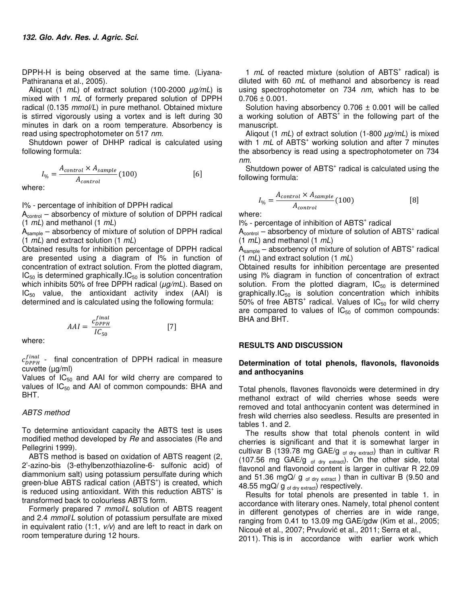DPPH-H is being observed at the same time. (Liyana-Pathiranana et al., 2005).

Aliquot (1 mL) of extract solution (100-2000 *µ*g/mL) is mixed with 1 mL of formerly prepared solution of DPPH radical (0.135 mmol/L) in pure methanol. Obtained mixture is stirred vigorously using a vortex and is left during 30 minutes in dark on a room temperature. Absorbency is read using spectrophotometer on 517 nm.

Shutdown power of DHHP radical is calculated using following formula:

$$
I_{\%} = \frac{A_{control} \times A_{sample}}{A_{control}} (100)
$$
 [6]

where:

I% - percentage of inhibition of DPPH radical

 $A_{control}$  – absorbency of mixture of solution of DPPH radical  $(1 \, mL)$  and methanol  $(1 \, mL)$ 

Asample – absorbency of mixture of solution of DPPH radical  $(1 \, mL)$  and extract solution  $(1 \, mL)$ 

Obtained results for inhibition percentage of DPPH radical are presented using a diagram of I% in function of concentration of extract solution. From the plotted diagram,  $IC_{50}$  is determined graphically.  $IC_{50}$  is solution concentration which inhibits 50% of free DPPH radical (*µ*g/mL). Based on  $IC_{50}$  value, the antioxidant activity index (AAI) is determined and is calculated using the following formula:

$$
AAI = \frac{c_{DPPH}^{final}}{IC_{50}} \tag{7}
$$

where:

 $c_{\text{DPPH}}^{final}$  - final concentration of DPPH radical in measure cuvette (µg/ml)

Values of  $IC_{50}$  and AAI for wild cherry are compared to values of  $IC_{50}$  and AAI of common compounds: BHA and BHT.

#### ABTS method

To determine antioxidant capacity the ABTS test is uses modified method developed by Re and associates (Re and Pellegrini 1999).

ABTS method is based on oxidation of ABTS reagent (2, 2'-azino-bis (3-ethylbenzothiazoline-6- sulfonic acid) of diammonium salt) using potassium persulfate during which green-blue ABTS radical cation (ABTS<sup>+</sup>) is created, which is reduced using antioxidant. With this reduction  $ABTS<sup>+</sup>$  is transformed back to colourless ABTS form.

Formerly prepared 7 mmol/L solution of ABTS reagent and 2.4 mmol/L solution of potassium persulfate are mixed in equivalent ratio (1:1,  $v/v$ ) and are left to react in dark on room temperature during 12 hours.

1 mL of reacted mixture (solution of ABTS<sup>+</sup> radical) is diluted with 60  $mL$  of methanol and absorbency is read using spectrophotometer on 734 nm, which has to be  $0.706 \pm 0.001$ .

Solution having absorbency  $0.706 \pm 0.001$  will be called a working solution of ABTS<sup>+</sup> in the following part of the manuscript.

Aliqout (1 mL) of extract solution (1-800 *µ*g/mL) is mixed with  $1$   $mL$  of ABTS<sup>+</sup> working solution and after  $7$  minutes the absorbency is read using a spectrophotometer on 734 nm.

Shutdown power of ABTS<sup>+</sup> radical is calculated using the following formula:

$$
I_{\%} = \frac{A_{control} \times A_{sample}}{A_{control}} (100)
$$
 [8]

where:

I% - percentage of inhibition of ABTS<sup>+</sup> radical

 $A_{control}$  – absorbency of mixture of solution of ABTS<sup>+</sup> radical  $(1 \, mL)$  and methanol  $(1 \, mL)$ 

 $\hat{A}_{\text{sample}}$  – absorbency of mixture of solution of ABTS<sup>+</sup> radical  $(1 \, mL)$  and extract solution  $(1 \, mL)$ 

Obtained results for inhibition percentage are presented using I% diagram in function of concentration of extract solution. From the plotted diagram,  $IC_{50}$  is determined graphically.IC $_{50}$  is solution concentration which inhibits  $50\%$  of free ABTS<sup>+</sup> radical. Values of IC<sub>50</sub> for wild cherry are compared to values of  $IC_{50}$  of common compounds: BHA and BHT.

#### **RESULTS AND DISCUSSION**

#### **Determination of total phenols, flavonols, flavonoids and anthocyanins**

Total phenols, flavones flavonoids were determined in dry methanol extract of wild cherries whose seeds were removed and total anthocyanin content was determined in fresh wild cherries also seedless. Results are presented in tables 1. and 2.

The results show that total phenols content in wild cherries is significant and that it is somewhat larger in cultivar B (139.78 mg GAE/g of dry extract) than in cultivar R (107.56 mg GAE/g  $_{of$  dry extract). On the other side, total flavonol and flavonoid content is larger in cultivar R 22.09 and 51.36 mgQ/  $g_{of dry ext, ext}$ ) than in cultivar B (9.50 and 48.55 mgQ/ g  $_{of dry \, extract}$  respectively.

Results for total phenols are presented in table 1. in accordance with literary ones. Namely, total phenol content in different genotypes of cherries are in wide range, ranging from 0.41 to 13.09 mg GAE/gdw (Kim et al., 2005; Nicoué et al., 2007; Prvulović et al., 2011; Serra et al.,

2011). This is in accordance with earlier work which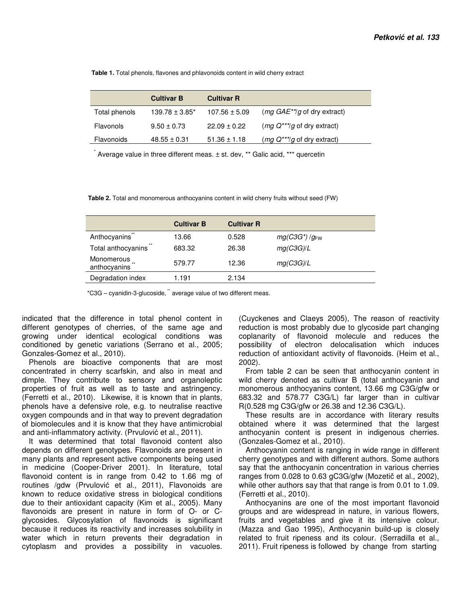**Table 1.** Total phenols, flavones and phlavonoids content in wild cherry extract

|               | <b>Cultivar B</b>   | <b>Cultivar R</b> |                                                |
|---------------|---------------------|-------------------|------------------------------------------------|
| Total phenols | $139.78 \pm 3.85^*$ | $107.56 \pm 5.09$ | ( <i>mg GAE<sup>**</sup>/g</i> of dry extract) |
| Flavonols     | $9.50 \pm 0.73$     | $22.09 \pm 0.22$  | ( <i>mg Q<sup>***</sup>/g</i> of dry extract)  |
| Flavonoids    | $48.55 \pm 0.31$    | $51.36 \pm 1.18$  | $(mg Q^{**}$ /g of dry extract)                |

\* Average value in three different meas. ± st. dev, \*\* Galic acid, \*\*\* quercetin

 **Table 2.** Total and monomerous anthocyanins content in wild cherry fruits without seed (FW)

|                            | <b>Cultivar B</b> | <b>Cultivar R</b> |                    |
|----------------------------|-------------------|-------------------|--------------------|
| Anthocyanins               | 13.66             | 0.528             | $mg(C3G^*)/g_{FW}$ |
| Total anthocyanins         | 683.32            | 26.38             | mg(C3G)/L          |
| Monomerous<br>anthocyanins | 579.77            | 12.36             | mg(C3G)/L          |
| Degradation index          | 1.191             | 2.134             |                    |

\*C3G – cyanidin-3-glucoside, \*\* average value of two different meas.

indicated that the difference in total phenol content in different genotypes of cherries, of the same age and growing under identical ecological conditions was conditioned by genetic variations (Serrano et al., 2005; Gonzales-Gomez et al., 2010).

Phenols are bioactive components that are most concentrated in cherry scarfskin, and also in meat and dimple. They contribute to sensory and organoleptic properties of fruit as well as to taste and astringency. (Ferretti et al., 2010). Likewise, it is known that in plants, phenols have a defensive role, e.g. to neutralise reactive oxygen compounds and in that way to prevent degradation of biomolecules and it is know that they have antimicrobial and anti-inflammatory activity. (Prvulović et al., 2011).

It was determined that total flavonoid content also depends on different genotypes. Flavonoids are present in many plants and represent active components being used in medicine (Cooper-Driver 2001). In literature, total flavonoid content is in range from 0.42 to 1.66 mg of routines /gdw (Prvulović et al., 2011), Flavonoids are known to reduce oxidative stress in biological conditions due to their antioxidant capacity (Kim et al., 2005). Many flavonoids are present in nature in form of O- or Cglycosides. Glycosylation of flavonoids is significant because it reduces its reactivity and increases solubility in water which in return prevents their degradation in cytoplasm and provides a possibility in vacuoles.

(Cuyckenes and Claeys 2005), The reason of reactivity reduction is most probably due to glycoside part changing coplanarity of flavonoid molecule and reduces the possibility of electron delocalisation which induces reduction of antioxidant activity of flavonoids. (Heim et al., 2002).

From table 2 can be seen that anthocyanin content in wild cherry denoted as cultivar B (total anthocyanin and monomerous anthocyanins content, 13.66 mg C3G/gfw or 683.32 and 578.77 C3G/L) far larger than in cultivar R(0.528 mg C3G/gfw or 26.38 and 12.36 C3G/L).

These results are in accordance with literary results obtained where it was determined that the largest anthocyanin content is present in indigenous cherries. (Gonzales-Gomez et al., 2010).

Anthocyanin content is ranging in wide range in different cherry genotypes and with different authors. Some authors say that the anthocyanin concentration in various cherries ranges from 0.028 to 0.63 gC3G/gfw (Mozetič et al., 2002), while other authors say that that range is from 0.01 to 1.09. (Ferretti et al., 2010).

Anthocyanins are one of the most important flavonoid groups and are widespread in nature, in various flowers, fruits and vegetables and give it its intensive colour. (Mazza and Gao 1995), Anthocyanin build-up is closely related to fruit ripeness and its colour. (Serradilla et al., 2011). Fruit ripeness is followed by change from starting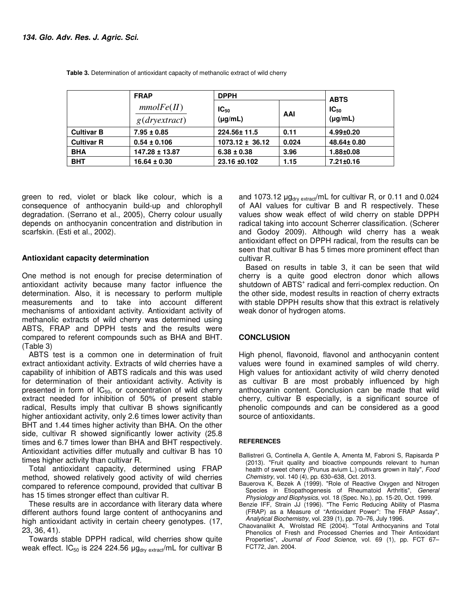|                   | <b>FRAP</b>         | <b>DPPH</b>               | <b>ABTS</b> |                           |
|-------------------|---------------------|---------------------------|-------------|---------------------------|
|                   | mmolFe(II)<br>g(dr) | $IC_{50}$<br>$(\mu g/mL)$ | AAI         | $IC_{50}$<br>$(\mu g/mL)$ |
| <b>Cultivar B</b> | $7.95 \pm 0.85$     | 224.56±11.5               | 0.11        | $4.99 + 0.20$             |
| <b>Cultivar R</b> | $0.54 \pm 0.106$    | $1073.12 \pm 36.12$       | 0.024       | 48.64± 0.80               |
| <b>BHA</b>        | 147.28 ± 13.87      | $6.38 \pm 0.38$           | 3.96        | 1.88±0.08                 |
| <b>BHT</b>        | $16.64 \pm 0.30$    | 23.16 ±0.102              | 1.15        | $7.21 \pm 0.16$           |

**Table 3.** Determination of antioxidant capacity of methanolic extract of wild cherry

green to red, violet or black like colour, which is a consequence of anthocyanin build-up and chlorophyll degradation. (Serrano et al., 2005), Cherry colour usually depends on anthocyanin concentration and distribution in scarfskin. (Esti et al., 2002).

#### **Antioxidant capacity determination**

One method is not enough for precise determination of antioxidant activity because many factor influence the determination. Also, it is necessary to perform multiple measurements and to take into account different mechanisms of antioxidant activity. Antioxidant activity of methanolic extracts of wild cherry was determined using ABTS, FRAP and DPPH tests and the results were compared to referent compounds such as BHA and BHT. (Table 3)

ABTS test is a common one in determination of fruit extract antioxidant activity. Extracts of wild cherries have a capability of inhibition of ABTS radicals and this was used for determination of their antioxidant activity. Activity is presented in form of  $IC_{50}$ , or concentration of wild cherry extract needed for inhibition of 50% of present stable radical, Results imply that cultivar B shows significantly higher antioxidant activity, only 2.6 times lower activity than BHT and 1.44 times higher activity than BHA. On the other side, cultivar R showed significantly lower activity (25.8 times and 6.7 times lower than BHA and BHT respectively. Antioxidant activities differ mutually and cultivar B has 10 times higher activity than cultivar R.

Total antioxidant capacity, determined using FRAP method, showed relatively good activity of wild cherries compared to reference compound, provided that cultivar B has 15 times stronger effect than cultivar R.

These results are in accordance with literary data where different authors found large content of anthocyanins and high antioxidant activity in certain cheery genotypes. (17, 23, 36, 41).

Towards stable DPPH radical, wild cherries show quite weak effect.  $IC_{50}$  is 224 224.56  $\mu$ g<sub>dry extract</sub>/mL for cultivar B and 1073.12  $\mu$ g<sub>dry extract</sub>/mL for cultivar R, or 0.11 and 0.024 of AAI values for cultivar B and R respectively. These values show weak effect of wild cherry on stable DPPH radical taking into account Scherrer classification. (Scherer and Godoy 2009). Although wild cherry has a weak antioxidant effect on DPPH radical, from the results can be seen that cultivar B has 5 times more prominent effect than cultivar R.

Based on results in table 3, it can be seen that wild cherry is a quite good electron donor which allows shutdown of ABTS<sup>+</sup> radical and ferri-complex reduction. On the other side, modest results in reaction of cherry extracts with stable DPPH results show that this extract is relatively weak donor of hydrogen atoms.

### **CONCLUSION**

High phenol, flavonoid, flavonol and anthocyanin content values were found in examined samples of wild cherry. High values for antioxidant activity of wild cherry denoted as cultivar B are most probably influenced by high anthocyanin content. Conclusion can be made that wild cherry, cultivar B especially, is a significant source of phenolic compounds and can be considered as a good source of antioxidants.

#### **REFERENCES**

- Ballistreri G, Continella A, Gentile A, Amenta M, Fabroni S, Rapisarda P (2013). "Fruit quality and bioactive compounds relevant to human health of sweet cherry (Prunus avium L.) cultivars grown in Italy", Food Chemistry, vol. 140 (4), pp. 630–638, Oct. 2013.
- Bauerova K, Bezek A (1999). "Role of Reactive Oxygen and Nitrogen Species in Etiopathogenesis of Rheumatoid Arthritis", General Physiology and Biophysics, vol. 18 (Spec. No.), pp. 15-20, Oct. 1999.
- Benzie IFF, Strain JJ (1996). "The Ferric Reducing Ability of Plasma (FRAP) as a Measure of "Antioxidant Power": The FRAP Assay", Analytical Biochemistry, vol. 239 (1), pp. 70–76, July 1996.
- Chaovanalikit A, Wrolstad RE (2004). "Total Anthocyanins and Total Phenolics of Fresh and Processed Cherries and Their Antioxidant Properties", Journal of Food Science, vol. 69 (1), pp. FCT 67-FCT72, Jan. 2004.